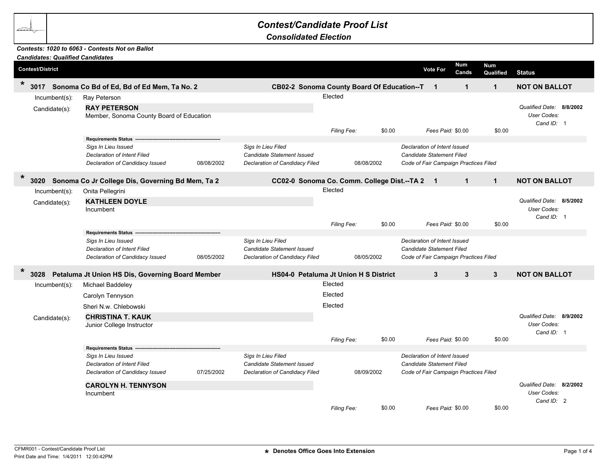## *Contest/Candidate Proof List*

*Consolidated Election*

## *Contests: 1020 to 6063 - Contests Not on Ballot*

|         |                                                                                  | <b>Candidates: Qualified Candidates</b>                                                                                    |            |                                                                                           |                    |            |                                                                                                           |                                                                                                           |                         |                                                       |
|---------|----------------------------------------------------------------------------------|----------------------------------------------------------------------------------------------------------------------------|------------|-------------------------------------------------------------------------------------------|--------------------|------------|-----------------------------------------------------------------------------------------------------------|-----------------------------------------------------------------------------------------------------------|-------------------------|-------------------------------------------------------|
|         | <b>Contest/District</b>                                                          |                                                                                                                            |            |                                                                                           |                    |            | <b>Vote For</b>                                                                                           | <b>Num</b><br>Cands                                                                                       | <b>Num</b><br>Qualified | <b>Status</b>                                         |
| $\star$ | 3017                                                                             | Sonoma Co Bd of Ed, Bd of Ed Mem, Ta No. 2                                                                                 |            | CB02-2 Sonoma County Board Of Education--T                                                |                    |            | $\mathbf{1}$                                                                                              | $\mathbf 1$                                                                                               | $\mathbf{1}$            | <b>NOT ON BALLOT</b>                                  |
|         | $Incumbent(s)$ :                                                                 | Ray Peterson                                                                                                               |            |                                                                                           | Elected            |            |                                                                                                           |                                                                                                           |                         |                                                       |
|         | <b>RAY PETERSON</b><br>Candidate(s):<br>Member, Sonoma County Board of Education |                                                                                                                            |            |                                                                                           |                    |            | Fees Paid: \$0.00                                                                                         |                                                                                                           |                         | Qualified Date: 8/8/2002<br>User Codes:<br>Cand ID: 1 |
|         |                                                                                  | <b>Requirements Status</b>                                                                                                 |            |                                                                                           | Filing Fee:        | \$0.00     |                                                                                                           |                                                                                                           | \$0.00                  |                                                       |
|         |                                                                                  | Sigs In Lieu Issued<br><b>Declaration of Intent Filed</b><br>Declaration of Candidacy Issued                               | 08/08/2002 | Sigs In Lieu Filed<br>Candidate Statement Issued<br>Declaration of Candidacy Filed        |                    | 08/08/2002 | Declaration of Intent Issued<br>Candidate Statement Filed<br>Code of Fair Campaign Practices Filed        |                                                                                                           |                         |                                                       |
| $\star$ | 3020                                                                             | Sonoma Co Jr College Dis, Governing Bd Mem, Ta 2                                                                           |            | CC02-0 Sonoma Co. Comm. College Dist.--TA 2 1                                             |                    |            |                                                                                                           | $\mathbf{1}$                                                                                              | $\mathbf{1}$            | <b>NOT ON BALLOT</b>                                  |
|         | $Incumbent(s)$ :                                                                 | Onita Pellegrini                                                                                                           |            |                                                                                           | Elected            |            |                                                                                                           |                                                                                                           |                         |                                                       |
|         | Candidate(s):                                                                    | <b>KATHLEEN DOYLE</b><br>Incumbent                                                                                         |            |                                                                                           |                    |            |                                                                                                           |                                                                                                           |                         | Qualified Date: 8/5/2002<br>User Codes:<br>Cand ID: 1 |
|         |                                                                                  |                                                                                                                            |            |                                                                                           | Filing Fee:        | \$0.00     |                                                                                                           | Fees Paid: \$0.00                                                                                         | \$0.00                  |                                                       |
|         |                                                                                  | <b>Requirements Status</b><br>Sigs In Lieu Issued<br><b>Declaration of Intent Filed</b><br>Declaration of Candidacy Issued | 08/05/2002 | Sigs In Lieu Filed<br><b>Candidate Statement Issued</b><br>Declaration of Candidacy Filed |                    | 08/05/2002 | Declaration of Intent Issued<br><b>Candidate Statement Filed</b><br>Code of Fair Campaign Practices Filed |                                                                                                           |                         |                                                       |
| $\star$ | 3028                                                                             | Petaluma Jt Union HS Dis, Governing Board Member                                                                           |            | HS04-0 Petaluma Jt Union H S District                                                     |                    |            | 3                                                                                                         | 3                                                                                                         | $\mathbf{3}$            | <b>NOT ON BALLOT</b>                                  |
|         | $Incumbent(s)$ :                                                                 | Michael Baddeley                                                                                                           |            |                                                                                           | Elected            |            |                                                                                                           |                                                                                                           |                         |                                                       |
|         |                                                                                  | Carolyn Tennyson                                                                                                           |            |                                                                                           | Elected            |            |                                                                                                           |                                                                                                           |                         |                                                       |
|         |                                                                                  | Sheri N.w. Chlebowski                                                                                                      |            |                                                                                           | Elected            |            |                                                                                                           |                                                                                                           |                         |                                                       |
|         | Candidate(s):                                                                    | <b>CHRISTINA T. KAUK</b>                                                                                                   |            |                                                                                           |                    |            |                                                                                                           |                                                                                                           |                         | Qualified Date: 8/9/2002                              |
|         |                                                                                  | Junior College Instructor                                                                                                  |            |                                                                                           |                    |            |                                                                                                           |                                                                                                           |                         | User Codes:                                           |
|         |                                                                                  |                                                                                                                            |            |                                                                                           | Filing Fee:        | \$0.00     |                                                                                                           | Fees Paid: \$0.00                                                                                         | \$0.00                  | Cand ID: 1                                            |
|         |                                                                                  | <b>Requirements Status</b>                                                                                                 |            |                                                                                           |                    |            |                                                                                                           |                                                                                                           |                         |                                                       |
|         |                                                                                  | Sigs In Lieu Issued<br><b>Declaration of Intent Filed</b><br>Declaration of Candidacy Issued                               | 07/25/2002 | Sigs In Lieu Filed<br><b>Candidate Statement Issued</b><br>Declaration of Candidacy Filed |                    | 08/09/2002 |                                                                                                           | Declaration of Intent Issued<br><b>Candidate Statement Filed</b><br>Code of Fair Campaign Practices Filed |                         |                                                       |
|         |                                                                                  | <b>CAROLYN H. TENNYSON</b><br>Incumbent                                                                                    |            |                                                                                           |                    |            |                                                                                                           |                                                                                                           |                         | Qualified Date: 8/2/2002<br>User Codes:<br>Cand ID: 2 |
|         |                                                                                  |                                                                                                                            |            |                                                                                           | <b>Filing Fee:</b> | \$0.00     |                                                                                                           | Fees Paid: \$0.00                                                                                         | \$0.00                  |                                                       |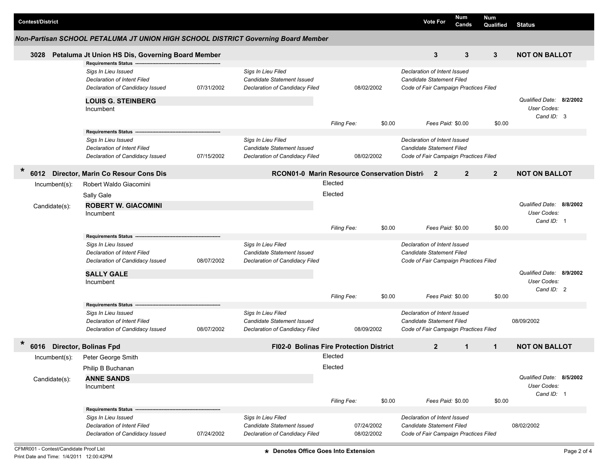| <b>Contest/District</b> |                                                                                                     |            |                                                                                    |             |                          | <b>Vote For</b>                                                                                    | Num<br>Cands      | <b>Num</b><br>Qualified | <b>Status</b>                                         |  |  |
|-------------------------|-----------------------------------------------------------------------------------------------------|------------|------------------------------------------------------------------------------------|-------------|--------------------------|----------------------------------------------------------------------------------------------------|-------------------|-------------------------|-------------------------------------------------------|--|--|
|                         | Non-Partisan SCHOOL PETALUMA JT UNION HIGH SCHOOL DISTRICT Governing Board Member                   |            |                                                                                    |             |                          |                                                                                                    |                   |                         |                                                       |  |  |
| 3028                    | Petaluma Jt Union HS Dis, Governing Board Member                                                    |            |                                                                                    |             | 3                        | 3                                                                                                  | 3                 | <b>NOT ON BALLOT</b>    |                                                       |  |  |
|                         | <b>Requirements Status</b>                                                                          |            |                                                                                    |             |                          |                                                                                                    |                   |                         |                                                       |  |  |
|                         | Sigs In Lieu Issued<br>Declaration of Intent Filed<br>Declaration of Candidacy Issued<br>07/31/2002 |            | Sigs In Lieu Filed<br>Candidate Statement Issued<br>Declaration of Candidacy Filed | 08/02/2002  |                          | Declaration of Intent Issued<br>Candidate Statement Filed<br>Code of Fair Campaign Practices Filed |                   |                         |                                                       |  |  |
|                         |                                                                                                     |            |                                                                                    |             |                          |                                                                                                    |                   |                         |                                                       |  |  |
|                         | <b>LOUIS G. STEINBERG</b><br>Incumbent                                                              |            |                                                                                    |             |                          |                                                                                                    |                   |                         | Qualified Date: 8/2/2002<br>User Codes:<br>Cand ID: 3 |  |  |
|                         |                                                                                                     |            |                                                                                    | Filing Fee: | \$0.00                   |                                                                                                    | Fees Paid: \$0.00 | \$0.00                  |                                                       |  |  |
|                         | <b>Requirements Status -</b>                                                                        |            |                                                                                    |             |                          |                                                                                                    |                   |                         |                                                       |  |  |
|                         | Sigs In Lieu Issued<br>Declaration of Intent Filed<br>Declaration of Candidacy Issued               | 07/15/2002 | Sigs In Lieu Filed<br>Candidate Statement Issued<br>Declaration of Candidacy Filed |             | 08/02/2002               | Declaration of Intent Issued<br>Candidate Statement Filed<br>Code of Fair Campaign Practices Filed |                   |                         |                                                       |  |  |
|                         |                                                                                                     |            |                                                                                    |             |                          |                                                                                                    |                   |                         |                                                       |  |  |
| $\ast$<br>6012          | Director, Marin Co Resour Cons Dis                                                                  |            | RCON01-0 Marin Resource Conservation Distri                                        |             |                          | $\overline{2}$                                                                                     | $\mathbf{2}$      | $\overline{2}$          | <b>NOT ON BALLOT</b>                                  |  |  |
| $Incumbent(s)$ :        | Robert Waldo Giacomini                                                                              |            |                                                                                    | Elected     |                          |                                                                                                    |                   |                         |                                                       |  |  |
|                         | Sally Gale                                                                                          |            |                                                                                    | Elected     |                          |                                                                                                    |                   |                         |                                                       |  |  |
| Candidate(s):           | <b>ROBERT W. GIACOMINI</b>                                                                          |            |                                                                                    |             | Qualified Date: 8/8/2002 |                                                                                                    |                   |                         |                                                       |  |  |
|                         | Incumbent                                                                                           |            |                                                                                    |             |                          |                                                                                                    |                   |                         | User Codes:                                           |  |  |
|                         |                                                                                                     |            |                                                                                    | Filing Fee: | \$0.00                   |                                                                                                    | Fees Paid: \$0.00 | \$0.00                  | Cand ID: 1                                            |  |  |
|                         | <b>Requirements Status</b>                                                                          |            |                                                                                    |             |                          |                                                                                                    |                   |                         |                                                       |  |  |
|                         | Sigs In Lieu Issued                                                                                 |            | Sigs In Lieu Filed                                                                 |             |                          | Declaration of Intent Issued                                                                       |                   |                         |                                                       |  |  |
|                         | Declaration of Intent Filed                                                                         |            | Candidate Statement Issued                                                         |             |                          | Candidate Statement Filed                                                                          |                   |                         |                                                       |  |  |
|                         | Declaration of Candidacy Issued                                                                     | 08/07/2002 | Declaration of Candidacy Filed                                                     |             |                          | Code of Fair Campaign Practices Filed                                                              |                   |                         |                                                       |  |  |
|                         | <b>SALLY GALE</b>                                                                                   |            |                                                                                    |             |                          |                                                                                                    |                   |                         | Qualified Date: 8/9/2002                              |  |  |
|                         | Incumbent                                                                                           |            |                                                                                    |             |                          |                                                                                                    |                   |                         | User Codes:                                           |  |  |
|                         |                                                                                                     |            |                                                                                    | Filing Fee: | \$0.00                   |                                                                                                    | Fees Paid: \$0.00 | \$0.00                  | Cand ID: 2                                            |  |  |
|                         | <b>Requirements Status</b>                                                                          |            |                                                                                    |             |                          |                                                                                                    |                   |                         |                                                       |  |  |
|                         | Sigs In Lieu Issued                                                                                 |            | Sigs In Lieu Filed                                                                 |             |                          | Declaration of Intent Issued                                                                       |                   |                         |                                                       |  |  |
|                         | <b>Declaration of Intent Filed</b>                                                                  |            | <b>Candidate Statement Issued</b>                                                  |             |                          | Candidate Statement Filed                                                                          |                   |                         | 08/09/2002                                            |  |  |
|                         | Declaration of Candidacy Issued                                                                     | 08/07/2002 | Declaration of Candidacy Filed                                                     |             | 08/09/2002               | Code of Fair Campaign Practices Filed                                                              |                   |                         |                                                       |  |  |
| *<br>6016               | Director, Bolinas Fpd                                                                               |            | <b>FI02-0 Bolinas Fire Protection District</b>                                     |             |                          | $\overline{2}$                                                                                     | $\mathbf{1}$      | $\mathbf{1}$            | <b>NOT ON BALLOT</b>                                  |  |  |
| Incumbent(s):           | Peter George Smith                                                                                  |            |                                                                                    | Elected     |                          |                                                                                                    |                   |                         |                                                       |  |  |
|                         | Philip B Buchanan                                                                                   |            |                                                                                    | Elected     |                          |                                                                                                    |                   |                         |                                                       |  |  |
| Candidate(s):           | <b>ANNE SANDS</b>                                                                                   |            |                                                                                    |             |                          |                                                                                                    |                   |                         | Qualified Date: 8/5/2002                              |  |  |
|                         | Incumbent                                                                                           |            |                                                                                    |             |                          |                                                                                                    |                   |                         | User Codes:                                           |  |  |
|                         |                                                                                                     |            |                                                                                    | Filing Fee: | \$0.00                   |                                                                                                    | Fees Paid: \$0.00 | \$0.00                  | Cand ID: 1                                            |  |  |
|                         | <b>Requirements Status</b>                                                                          |            |                                                                                    |             |                          |                                                                                                    |                   |                         |                                                       |  |  |
|                         | Sigs In Lieu Issued                                                                                 |            | Sigs In Lieu Filed                                                                 |             |                          | Declaration of Intent Issued                                                                       |                   |                         |                                                       |  |  |
|                         | Declaration of Intent Filed                                                                         |            | Candidate Statement Issued                                                         |             | 07/24/2002               | Candidate Statement Filed                                                                          |                   |                         | 08/02/2002                                            |  |  |
|                         | Declaration of Candidacy Issued                                                                     | 07/24/2002 | Declaration of Candidacy Filed                                                     | 08/02/2002  |                          | Code of Fair Campaign Practices Filed                                                              |                   |                         |                                                       |  |  |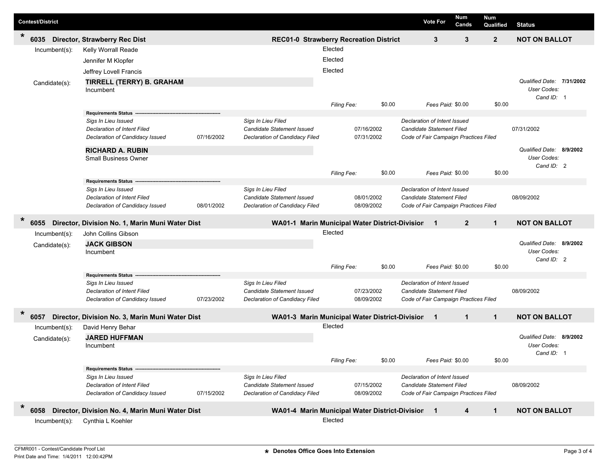| <b>Contest/District</b> |                  |                                                                       |                                                |                                                              |             |                          |        |                                                  | <b>Vote For</b>                                                    | <b>Num</b><br>Cands      | <b>Num</b><br>Qualified | <b>Status</b>             |  |
|-------------------------|------------------|-----------------------------------------------------------------------|------------------------------------------------|--------------------------------------------------------------|-------------|--------------------------|--------|--------------------------------------------------|--------------------------------------------------------------------|--------------------------|-------------------------|---------------------------|--|
| $\ast$<br>6035          |                  | Director, Strawberry Rec Dist                                         | <b>REC01-0 Strawberry Recreation District</b>  |                                                              |             |                          |        |                                                  | 3                                                                  | 3                        | $\overline{2}$          | <b>NOT ON BALLOT</b>      |  |
|                         | $Incumbent(s)$ : | Kelly Worrall Reade                                                   |                                                | Elected                                                      |             |                          |        |                                                  |                                                                    |                          |                         |                           |  |
|                         |                  | Jennifer M Klopfer                                                    |                                                |                                                              | Elected     |                          |        |                                                  |                                                                    |                          |                         |                           |  |
|                         |                  | Jeffrey Lovell Francis                                                |                                                |                                                              | Elected     |                          |        |                                                  |                                                                    |                          |                         |                           |  |
|                         | Candidate(s):    | <b>TIRRELL (TERRY) B. GRAHAM</b>                                      |                                                |                                                              |             |                          |        |                                                  |                                                                    |                          |                         | Qualified Date: 7/31/2002 |  |
|                         |                  | Incumbent                                                             |                                                |                                                              |             |                          |        |                                                  |                                                                    |                          |                         | User Codes:               |  |
|                         |                  |                                                                       |                                                |                                                              | Filing Fee: |                          | \$0.00 |                                                  | Fees Paid: \$0.00                                                  |                          | \$0.00                  | Cand ID: 1                |  |
|                         |                  | Requirements Status -----                                             |                                                |                                                              |             |                          |        |                                                  |                                                                    |                          |                         |                           |  |
|                         |                  | Sigs In Lieu Issued                                                   |                                                | Sigs In Lieu Filed                                           |             |                          |        |                                                  | Declaration of Intent Issued                                       |                          |                         |                           |  |
|                         |                  | Declaration of Intent Filed                                           |                                                | Candidate Statement Issued                                   |             | 07/16/2002               |        |                                                  | Candidate Statement Filed                                          |                          |                         | 07/31/2002                |  |
|                         |                  | Declaration of Candidacy Issued                                       | 07/16/2002                                     | Declaration of Candidacy Filed                               | 07/31/2002  |                          |        |                                                  | Code of Fair Campaign Practices Filed                              |                          |                         |                           |  |
|                         |                  | <b>RICHARD A. RUBIN</b>                                               |                                                |                                                              |             |                          |        |                                                  |                                                                    |                          |                         | Qualified Date: 8/9/2002  |  |
|                         |                  | <b>Small Business Owner</b>                                           |                                                |                                                              |             |                          |        |                                                  |                                                                    |                          |                         | User Codes:<br>Cand ID: 2 |  |
|                         |                  |                                                                       |                                                |                                                              | Filing Fee: |                          | \$0.00 |                                                  | Fees Paid: \$0.00                                                  |                          | \$0.00                  |                           |  |
|                         |                  | <b>Requirements Status</b>                                            |                                                |                                                              |             |                          |        |                                                  |                                                                    |                          |                         |                           |  |
|                         |                  | Sigs In Lieu Issued                                                   |                                                | Sigs In Lieu Filed                                           |             |                          |        |                                                  | Declaration of Intent Issued                                       |                          |                         |                           |  |
|                         |                  | <b>Declaration of Intent Filed</b>                                    | 08/01/2002                                     | Candidate Statement Issued<br>Declaration of Candidacy Filed |             | 08/01/2002<br>08/09/2002 |        |                                                  | Candidate Statement Filed                                          |                          |                         | 08/09/2002                |  |
|                         |                  | Declaration of Candidacy Issued                                       |                                                |                                                              |             |                          |        |                                                  | Code of Fair Campaign Practices Filed                              |                          |                         |                           |  |
| $\ast$<br>6055          |                  | Director, Division No. 1, Marin Muni Water Dist                       | WA01-1 Marin Municipal Water District-Division |                                                              |             |                          |        | $\overline{2}$<br>$\mathbf{1}$<br>$\blacksquare$ |                                                                    |                          | <b>NOT ON BALLOT</b>    |                           |  |
|                         | Incumbent(s):    | John Collins Gibson                                                   |                                                |                                                              | Elected     |                          |        |                                                  |                                                                    |                          |                         |                           |  |
|                         | Candidate(s):    | <b>JACK GIBSON</b>                                                    |                                                |                                                              |             |                          |        |                                                  |                                                                    | Qualified Date: 8/9/2002 |                         |                           |  |
|                         |                  | Incumbent                                                             |                                                |                                                              |             |                          |        |                                                  |                                                                    |                          |                         | User Codes:<br>Cand ID: 2 |  |
|                         |                  |                                                                       |                                                |                                                              | Filing Fee: |                          | \$0.00 |                                                  | Fees Paid: \$0.00                                                  |                          | \$0.00                  |                           |  |
|                         |                  | <b>Requirements Status</b>                                            |                                                |                                                              |             |                          |        |                                                  |                                                                    |                          |                         |                           |  |
|                         |                  | Sigs In Lieu Issued                                                   |                                                | Sigs In Lieu Filed                                           |             |                          |        |                                                  | Declaration of Intent Issued                                       |                          |                         |                           |  |
|                         |                  | Declaration of Intent Filed<br>Declaration of Candidacy Issued        | 07/23/2002                                     | Candidate Statement Issued<br>Declaration of Candidacy Filed |             | 07/23/2002<br>08/09/2002 |        |                                                  | Candidate Statement Filed<br>Code of Fair Campaign Practices Filed |                          |                         | 08/09/2002                |  |
|                         |                  |                                                                       |                                                |                                                              |             |                          |        |                                                  |                                                                    |                          |                         |                           |  |
| $\ast$<br>6057          |                  | Director, Division No. 3, Marin Muni Water Dist                       |                                                | WA01-3 Marin Municipal Water District-Division               |             |                          |        |                                                  | $\blacksquare$ 1                                                   | $\mathbf{1}$             | $\mathbf{1}$            | <b>NOT ON BALLOT</b>      |  |
|                         | Incumbent(s):    | David Henry Behar                                                     |                                                |                                                              | Elected     |                          |        |                                                  |                                                                    |                          |                         |                           |  |
|                         | Candidate(s):    | <b>JARED HUFFMAN</b>                                                  |                                                |                                                              |             |                          |        |                                                  |                                                                    |                          |                         | Qualified Date: 8/9/2002  |  |
|                         |                  | Incumbent                                                             |                                                |                                                              |             |                          |        |                                                  |                                                                    |                          |                         | User Codes:<br>Cand ID: 1 |  |
|                         |                  |                                                                       |                                                |                                                              | Filing Fee: |                          | \$0.00 |                                                  | Fees Paid: \$0.00                                                  |                          | \$0.00                  |                           |  |
|                         |                  | <b>Requirements Status</b>                                            |                                                |                                                              |             |                          |        |                                                  |                                                                    |                          |                         |                           |  |
|                         |                  | Sigs In Lieu Issued                                                   |                                                | Sigs In Lieu Filed                                           |             |                          |        |                                                  | Declaration of Intent Issued                                       |                          |                         |                           |  |
|                         |                  | <b>Declaration of Intent Filed</b><br>Declaration of Candidacy Issued | 07/15/2002                                     | Candidate Statement Issued<br>Declaration of Candidacy Filed |             | 07/15/2002<br>08/09/2002 |        |                                                  | Candidate Statement Filed<br>Code of Fair Campaign Practices Filed |                          |                         | 08/09/2002                |  |
| $\ast$                  |                  |                                                                       |                                                |                                                              |             |                          |        |                                                  |                                                                    |                          |                         |                           |  |
| 6058                    |                  | Director, Division No. 4, Marin Muni Water Dist                       |                                                | WA01-4 Marin Municipal Water District-Division 1             |             |                          |        |                                                  |                                                                    | 4                        | $\mathbf{1}$            | <b>NOT ON BALLOT</b>      |  |
|                         | $Incumbent(s)$ : | Cynthia L Koehler                                                     |                                                |                                                              | Elected     |                          |        |                                                  |                                                                    |                          |                         |                           |  |